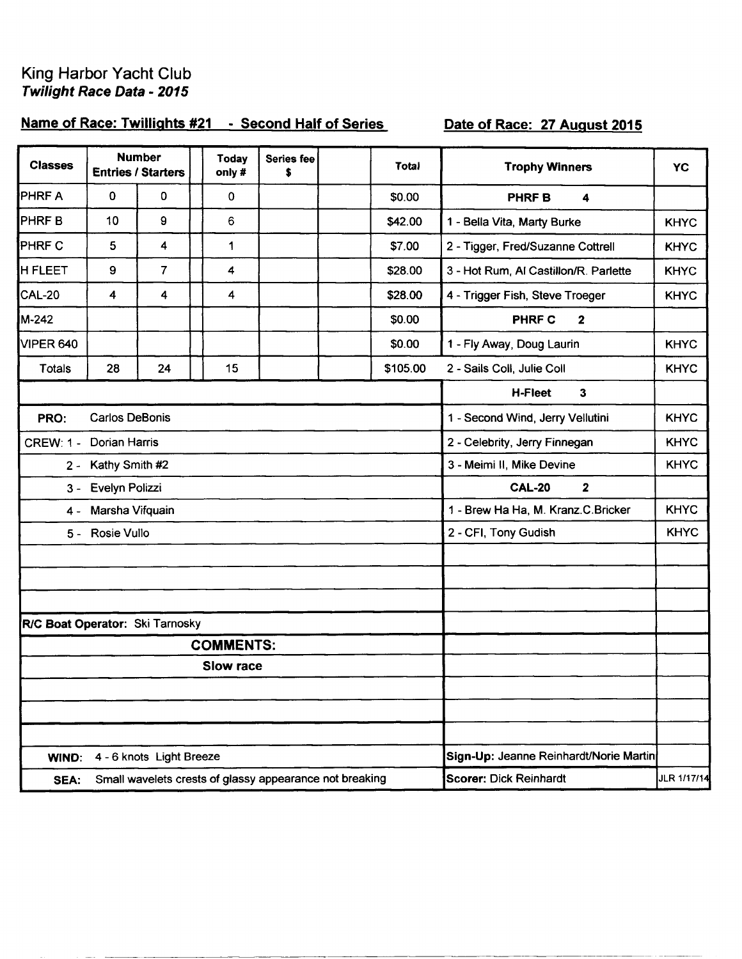## King Harbor Yacht Club Twilight Race Data - 2015

## Name of Race: Twillights #21 - Second Half of Series

## Date of Race: 27 August 2015

| <b>Classes</b>                  |                      | <b>Number</b><br><b>Entries / Starters</b> | Today<br>only#   | <b>Series fee</b><br>S                                  | Total    | <b>Trophy Winners</b>                  | <b>YC</b>   |
|---------------------------------|----------------------|--------------------------------------------|------------------|---------------------------------------------------------|----------|----------------------------------------|-------------|
| PHRF A                          | 0                    | 0                                          | 0                |                                                         | \$0.00   | 4<br><b>PHRF B</b>                     |             |
| PHRF B                          | 10                   | 9                                          | 6                |                                                         | \$42.00  | 1 - Bella Vita, Marty Burke            | <b>KHYC</b> |
| PHRF C                          | 5                    | 4                                          | 1                |                                                         | \$7.00   | 2 - Tigger, Fred/Suzanne Cottrell      | <b>KHYC</b> |
| <b>H FLEET</b>                  | 9                    | $\overline{7}$                             | 4                |                                                         | \$28.00  | 3 - Hot Rum, Al Castillon/R. Parlette  | <b>KHYC</b> |
| <b>CAL-20</b>                   | 4                    | 4                                          | 4                |                                                         | \$28.00  | 4 - Trigger Fish, Steve Troeger        | <b>KHYC</b> |
| M-242                           |                      |                                            |                  |                                                         | \$0.00   | <b>PHRF C</b><br>2                     |             |
| <b>VIPER 640</b>                |                      |                                            |                  |                                                         | \$0.00   | 1 - Fly Away, Doug Laurin              | <b>KHYC</b> |
| <b>Totals</b>                   | 28                   | 24                                         | 15               |                                                         | \$105.00 | 2 - Sails Coll, Julie Coll             | <b>KHYC</b> |
|                                 |                      |                                            |                  |                                                         |          | H-Fleet<br>3                           |             |
| PRO:                            | Carlos DeBonis       |                                            |                  |                                                         |          | 1 - Second Wind, Jerry Vellutini       | <b>KHYC</b> |
| <b>CREW: 1 -</b>                | <b>Dorian Harris</b> |                                            |                  |                                                         |          | 2 - Celebrity, Jerry Finnegan          | <b>KHYC</b> |
| $2 -$                           | Kathy Smith #2       |                                            |                  |                                                         |          | 3 - Meimi II, Mike Devine              | <b>KHYC</b> |
| 3 -                             | Evelyn Polizzi       |                                            |                  |                                                         |          | <b>CAL-20</b><br>$\mathbf 2$           |             |
| 4 -                             | Marsha Vifquain      |                                            |                  |                                                         |          | 1 - Brew Ha Ha, M. Kranz.C.Bricker     | <b>KHYC</b> |
|                                 | 5 - Rosie Vullo      |                                            |                  |                                                         |          | 2 - CFI, Tony Gudish                   | <b>KHYC</b> |
|                                 |                      |                                            |                  |                                                         |          |                                        |             |
|                                 |                      |                                            |                  |                                                         |          |                                        |             |
|                                 |                      |                                            |                  |                                                         |          |                                        |             |
| R/C Boat Operator: Ski Tarnosky |                      |                                            |                  |                                                         |          |                                        |             |
|                                 |                      |                                            | <b>COMMENTS:</b> |                                                         |          |                                        |             |
|                                 |                      |                                            | <b>Slow race</b> |                                                         |          |                                        |             |
|                                 |                      |                                            |                  |                                                         |          |                                        |             |
|                                 |                      |                                            |                  |                                                         |          |                                        |             |
| WIND:                           |                      | 4 - 6 knots Light Breeze                   |                  |                                                         |          | Sign-Up: Jeanne Reinhardt/Norie Martin |             |
| SEA:                            |                      |                                            |                  | Small wavelets crests of glassy appearance not breaking |          | Scorer: Dick Reinhardt                 | JLR 1/17/14 |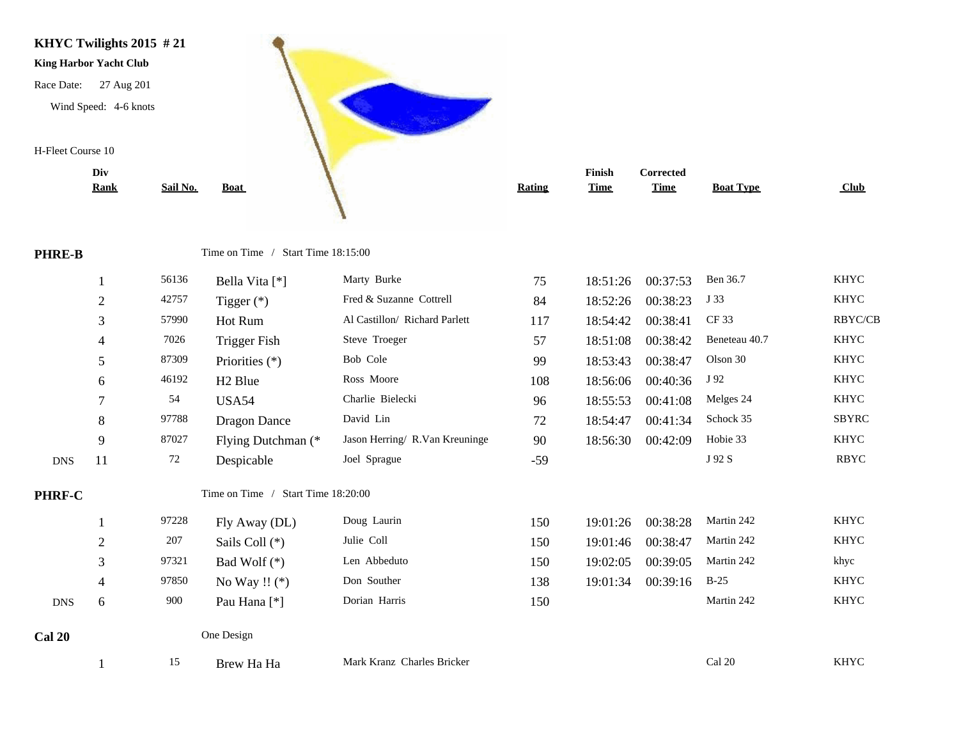

|               | Div            |          |                                    |                                |               | Finish      | Corrected   |                  |              |
|---------------|----------------|----------|------------------------------------|--------------------------------|---------------|-------------|-------------|------------------|--------------|
|               | <b>Rank</b>    | Sail No. | <b>Boat</b>                        |                                | <b>Rating</b> | <b>Time</b> | <b>Time</b> | <b>Boat Type</b> | Club         |
|               |                |          |                                    |                                |               |             |             |                  |              |
|               |                |          |                                    |                                |               |             |             |                  |              |
| <b>PHRE-B</b> |                |          | Time on Time / Start Time 18:15:00 |                                |               |             |             |                  |              |
|               |                | 56136    | Bella Vita [*]                     | Marty Burke                    | 75            | 18:51:26    | 00:37:53    | Ben 36.7         | <b>KHYC</b>  |
|               | $\overline{2}$ | 42757    | Tigger $(*)$                       | Fred & Suzanne Cottrell        | 84            | 18:52:26    | 00:38:23    | J 33             | <b>KHYC</b>  |
|               | 3              | 57990    | Hot Rum                            | Al Castillon/ Richard Parlett  | 117           | 18:54:42    | 00:38:41    | CF 33            | RBYC/CB      |
|               | 4              | 7026     | <b>Trigger Fish</b>                | Steve Troeger                  | 57            | 18:51:08    | 00:38:42    | Beneteau 40.7    | <b>KHYC</b>  |
|               | 5              | 87309    | Priorities (*)                     | Bob Cole                       | 99            | 18:53:43    | 00:38:47    | Olson 30         | <b>KHYC</b>  |
|               | 6              | 46192    | H <sub>2</sub> Blue                | Ross Moore                     | 108           | 18:56:06    | 00:40:36    | J 92             | <b>KHYC</b>  |
|               | 7              | 54       | <b>USA54</b>                       | Charlie Bielecki               | 96            | 18:55:53    | 00:41:08    | Melges 24        | <b>KHYC</b>  |
|               | 8              | 97788    | <b>Dragon Dance</b>                | David Lin                      | 72            | 18:54:47    | 00:41:34    | Schock 35        | <b>SBYRC</b> |
|               | 9              | 87027    | Flying Dutchman (*                 | Jason Herring/ R.Van Kreuninge | 90            | 18:56:30    | 00:42:09    | Hobie 33         | <b>KHYC</b>  |
| <b>DNS</b>    | 11             | 72       | Despicable                         | Joel Sprague                   | $-59$         |             |             | J 92 S           | <b>RBYC</b>  |
| PHRF-C        |                |          | Time on Time / Start Time 18:20:00 |                                |               |             |             |                  |              |
|               |                | 97228    | Fly Away (DL)                      | Doug Laurin                    | 150           | 19:01:26    | 00:38:28    | Martin 242       | <b>KHYC</b>  |
|               | $\overline{2}$ | 207      | Sails Coll (*)                     | Julie Coll                     | 150           | 19:01:46    | 00:38:47    | Martin 242       | <b>KHYC</b>  |
|               | 3              | 97321    | Bad Wolf $(*)$                     | Len Abbeduto                   | 150           | 19:02:05    | 00:39:05    | Martin 242       | khyc         |
|               | $\overline{4}$ | 97850    | No Way !! $(*)$                    | Don Souther                    | 138           | 19:01:34    | 00:39:16    | $B-25$           | <b>KHYC</b>  |
| <b>DNS</b>    | 6              | 900      | Pau Hana <sup>[*]</sup>            | Dorian Harris                  | 150           |             |             | Martin 242       | <b>KHYC</b>  |
| <b>Cal 20</b> |                |          | One Design                         |                                |               |             |             |                  |              |
|               |                | 15       | Brew Ha Ha                         | Mark Kranz Charles Bricker     |               |             |             | Cal 20           | <b>KHYC</b>  |